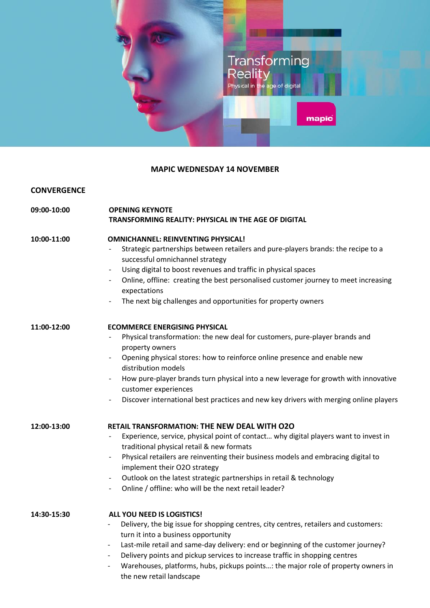

## **MAPIC WEDNESDAY 14 NOVEMBER**

### **CONVERGENCE**

| 09:00-10:00 | <b>OPENING KEYNOTE</b>                                      |
|-------------|-------------------------------------------------------------|
|             | <b>TRANSFORMING REALITY: PHYSICAL IN THE AGE OF DIGITAL</b> |

### **10:00-11:00 OMNICHANNEL: REINVENTING PHYSICAL!**

- Strategic partnerships between retailers and pure-players brands: the recipe to a successful omnichannel strategy
- Using digital to boost revenues and traffic in physical spaces
- Online, offline: creating the best personalised customer journey to meet increasing expectations
- The next big challenges and opportunities for property owners

### **11:00-12:00 ECOMMERCE ENERGISING PHYSICAL**

- Physical transformation: the new deal for customers, pure-player brands and property owners
- Opening physical stores: how to reinforce online presence and enable new distribution models
- How pure-player brands turn physical into a new leverage for growth with innovative customer experiences
- Discover international best practices and new key drivers with merging online players

### **12:00-13:00 RETAIL TRANSFORMATION: THE NEW DEAL WITH O2O**

- Experience, service, physical point of contact... why digital players want to invest in traditional physical retail & new formats
- Physical retailers are reinventing their business models and embracing digital to implement their O2O strategy
- Outlook on the latest strategic partnerships in retail & technology
- Online / offline: who will be the next retail leader?

**14:30-15:30 ALL YOU NEED IS LOGISTICS!**

- Delivery, the big issue for shopping centres, city centres, retailers and customers: turn it into a business opportunity
- Last-mile retail and same-day delivery: end or beginning of the customer journey?
- Delivery points and pickup services to increase traffic in shopping centres
- Warehouses, platforms, hubs, pickups points...: the major role of property owners in the new retail landscape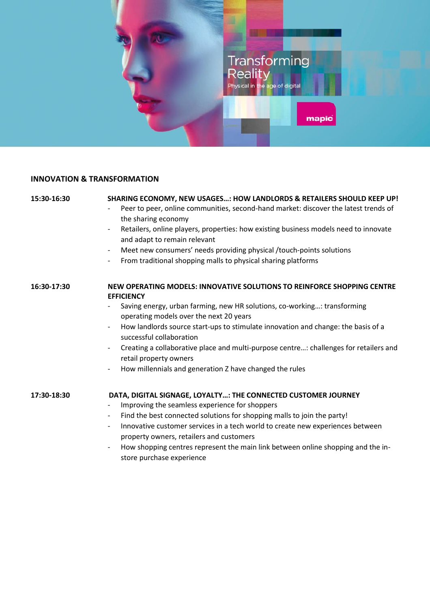

# **INNOVATION & TRANSFORMATION**

| 15:30-16:30 | SHARING ECONOMY, NEW USAGES: HOW LANDLORDS & RETAILERS SHOULD KEEP UP!<br>Peer to peer, online communities, second-hand market: discover the latest trends of<br>the sharing economy<br>Retailers, online players, properties: how existing business models need to innovate<br>$\overline{\phantom{a}}$<br>and adapt to remain relevant<br>Meet new consumers' needs providing physical /touch-points solutions<br>$\overline{\phantom{a}}$<br>From traditional shopping malls to physical sharing platforms<br>$\overline{\phantom{0}}$                                  |
|-------------|----------------------------------------------------------------------------------------------------------------------------------------------------------------------------------------------------------------------------------------------------------------------------------------------------------------------------------------------------------------------------------------------------------------------------------------------------------------------------------------------------------------------------------------------------------------------------|
| 16:30-17:30 | NEW OPERATING MODELS: INNOVATIVE SOLUTIONS TO REINFORCE SHOPPING CENTRE<br><b>EFFICIENCY</b><br>Saving energy, urban farming, new HR solutions, co-working: transforming<br>operating models over the next 20 years<br>How landlords source start-ups to stimulate innovation and change: the basis of a<br>successful collaboration<br>Creating a collaborative place and multi-purpose centre: challenges for retailers and<br>$\overline{\phantom{a}}$<br>retail property owners<br>How millennials and generation Z have changed the rules<br>$\overline{\phantom{a}}$ |
| 17:30-18:30 | DATA, DIGITAL SIGNAGE, LOYALTY: THE CONNECTED CUSTOMER JOURNEY<br>Improving the seamless experience for shoppers<br>$\overline{\phantom{a}}$<br>Find the best connected solutions for shopping malls to join the party!<br>$-$<br>Innovative customer services in a tech world to create new experiences between<br>$\overline{\phantom{a}}$<br>property owners, retailers and customers<br>How shopping centres represent the main link between online shopping and the in-<br>$\overline{\phantom{a}}$<br>store purchase experience                                      |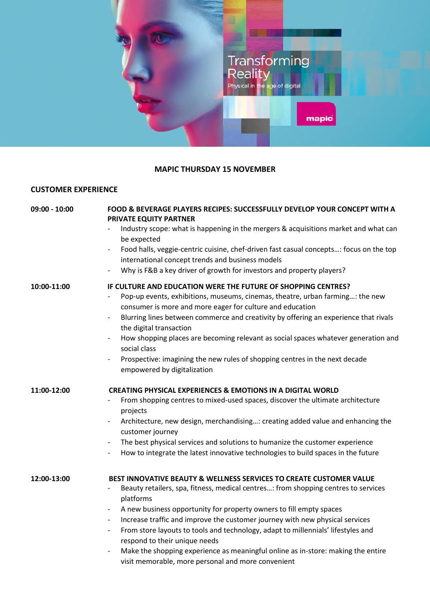

## **MAPIC THURSDAY 15 NOVEMBER**

# **CUSTOMER EXPERIENCE**

| $09:00 - 10:00$ | FOOD & BEVERAGE PLAYERS RECIPES: SUCCESSFULLY DEVELOP YOUR CONCEPT WITH A<br>PRIVATE EQUITY PARTNER                                                                                                                                                                                                                                                                                                                                              |
|-----------------|--------------------------------------------------------------------------------------------------------------------------------------------------------------------------------------------------------------------------------------------------------------------------------------------------------------------------------------------------------------------------------------------------------------------------------------------------|
|                 | Industry scope: what is happening in the mergers & acquisitions market and what can<br>be expected                                                                                                                                                                                                                                                                                                                                               |
|                 | Food halls, veggie-centric cuisine, chef-driven fast casual concepts: focus on the top<br>$\overline{\phantom{a}}$<br>international concept trends and business models                                                                                                                                                                                                                                                                           |
|                 | Why is F&B a key driver of growth for investors and property players?                                                                                                                                                                                                                                                                                                                                                                            |
| 10:00-11:00     | IF CULTURE AND EDUCATION WERE THE FUTURE OF SHOPPING CENTRES?<br>Pop-up events, exhibitions, museums, cinemas, theatre, urban farming: the new<br>consumer is more and more eager for culture and education<br>Blurring lines between commerce and creativity by offering an experience that rivals<br>$\overline{\phantom{a}}$<br>the digital transaction                                                                                       |
|                 | How shopping places are becoming relevant as social spaces whatever generation and<br>$\overline{\phantom{a}}$<br>social class                                                                                                                                                                                                                                                                                                                   |
|                 | Prospective: imagining the new rules of shopping centres in the next decade<br>empowered by digitalization                                                                                                                                                                                                                                                                                                                                       |
| 11:00-12:00     | <b>CREATING PHYSICAL EXPERIENCES &amp; EMOTIONS IN A DIGITAL WORLD</b>                                                                                                                                                                                                                                                                                                                                                                           |
|                 | From shopping centres to mixed-used spaces, discover the ultimate architecture<br>projects                                                                                                                                                                                                                                                                                                                                                       |
|                 | Architecture, new design, merchandising: creating added value and enhancing the<br>$\overline{\phantom{a}}$<br>customer journey                                                                                                                                                                                                                                                                                                                  |
|                 | The best physical services and solutions to humanize the customer experience<br>$\overline{\phantom{a}}$                                                                                                                                                                                                                                                                                                                                         |
|                 | How to integrate the latest innovative technologies to build spaces in the future<br>$\overline{\phantom{a}}$                                                                                                                                                                                                                                                                                                                                    |
| 12:00-13:00     | BEST INNOVATIVE BEAUTY & WELLNESS SERVICES TO CREATE CUSTOMER VALUE                                                                                                                                                                                                                                                                                                                                                                              |
|                 | Beauty retailers, spa, fitness, medical centres: from shopping centres to services<br>platforms                                                                                                                                                                                                                                                                                                                                                  |
|                 | A new business opportunity for property owners to fill empty spaces<br>$\overline{\phantom{a}}$<br>Increase traffic and improve the customer journey with new physical services<br>$\overline{\phantom{a}}$<br>From store layouts to tools and technology, adapt to millennials' lifestyles and<br>$\overline{\phantom{a}}$<br>respond to their unique needs<br>Make the shopping experience as meaningful online as in-store: making the entire |
|                 | visit memorable, more personal and more convenient                                                                                                                                                                                                                                                                                                                                                                                               |